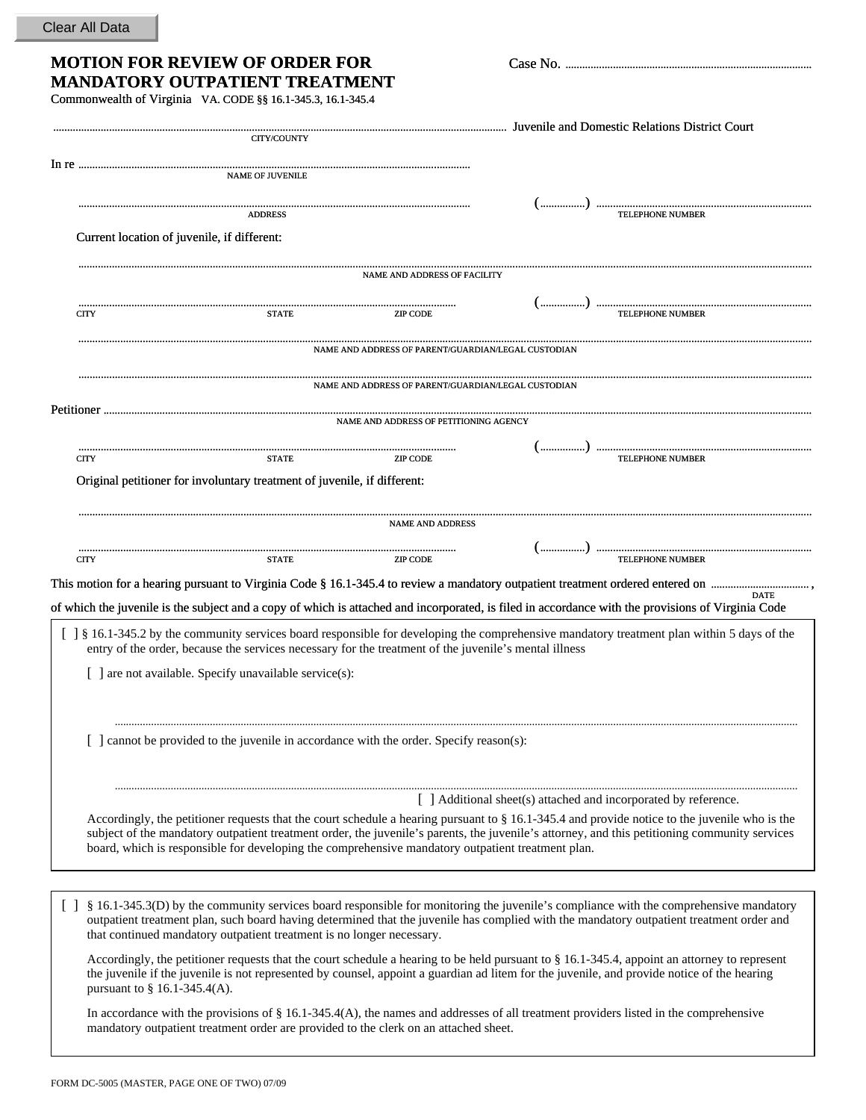## Clear All Data

| <b>MOTION FOR REVIEW OF ORDER FOR</b> |  |
|---------------------------------------|--|
| <b>MANDATORY OUTPATIENT TREATMENT</b> |  |

Commonwealth of Virginia VA. CODE §§ 16.1-345.3, 16.1-345.4

|        | <b>CITY/COUNTY</b>                                                                                                                                                                                                                                                                                                                                                                                  |
|--------|-----------------------------------------------------------------------------------------------------------------------------------------------------------------------------------------------------------------------------------------------------------------------------------------------------------------------------------------------------------------------------------------------------|
|        | <b>NAME OF JUVENILE</b>                                                                                                                                                                                                                                                                                                                                                                             |
|        | <b>ADDRESS</b>                                                                                                                                                                                                                                                                                                                                                                                      |
|        | Current location of juvenile, if different:                                                                                                                                                                                                                                                                                                                                                         |
|        | <b>NAME AND ADDRESS OF FACILITY</b>                                                                                                                                                                                                                                                                                                                                                                 |
|        | <b>CITY</b><br><b>STATE</b><br><b>ZIP CODE</b>                                                                                                                                                                                                                                                                                                                                                      |
|        | NAME AND ADDRESS OF PARENT/GUARDIAN/LEGAL CUSTODIAN                                                                                                                                                                                                                                                                                                                                                 |
|        | NAME AND ADDRESS OF PARENT/GUARDIAN/LEGAL CUSTODIAN                                                                                                                                                                                                                                                                                                                                                 |
|        | NAME AND ADDRESS OF PETITIONING AGENCY                                                                                                                                                                                                                                                                                                                                                              |
|        | <b>TELEPHONE NUMBER</b><br><b>CITY</b><br><b>STATE</b><br>ZIP CODE                                                                                                                                                                                                                                                                                                                                  |
|        | Original petitioner for involuntary treatment of juvenile, if different:                                                                                                                                                                                                                                                                                                                            |
|        | <b>NAME AND ADDRESS</b>                                                                                                                                                                                                                                                                                                                                                                             |
|        |                                                                                                                                                                                                                                                                                                                                                                                                     |
|        | <b>TELEPHONE NUMBER</b><br><b>CITY</b><br><b>STATE</b><br><b>ZIP CODE</b>                                                                                                                                                                                                                                                                                                                           |
|        | <b>DATE</b><br>of which the juvenile is the subject and a copy of which is attached and incorporated, is filed in accordance with the provisions of Virginia Code                                                                                                                                                                                                                                   |
|        | [ ] § 16.1-345.2 by the community services board responsible for developing the comprehensive mandatory treatment plan within 5 days of the<br>entry of the order, because the services necessary for the treatment of the juvenile's mental illness<br>[ ] are not available. Specify unavailable service(s):                                                                                      |
|        |                                                                                                                                                                                                                                                                                                                                                                                                     |
|        | [ ] cannot be provided to the juvenile in accordance with the order. Specify reason(s):                                                                                                                                                                                                                                                                                                             |
|        | [ ] Additional sheet(s) attached and incorporated by reference.                                                                                                                                                                                                                                                                                                                                     |
|        | Accordingly, the petitioner requests that the court schedule a hearing pursuant to § 16.1-345.4 and provide notice to the juvenile who is the<br>subject of the mandatory outpatient treatment order, the juvenile's parents, the juvenile's attorney, and this petitioning community services<br>board, which is responsible for developing the comprehensive mandatory outpatient treatment plan. |
|        |                                                                                                                                                                                                                                                                                                                                                                                                     |
| $\Box$ | § 16.1-345.3(D) by the community services board responsible for monitoring the juvenile's compliance with the comprehensive mandatory<br>outpatient treatment plan, such board having determined that the juvenile has complied with the mandatory outpatient treatment order and<br>that continued mandatory outpatient treatment is no longer necessary.                                          |
|        | Accordingly, the petitioner requests that the court schedule a hearing to be held pursuant to $\S$ 16.1-345.4, appoint an attorney to represent<br>the juvenile if the juvenile is not represented by counsel, appoint a guardian ad litem for the juvenile, and provide notice of the hearing<br>pursuant to $\S$ 16.1-345.4(A).                                                                   |

**MOTION FOR REVIEW OF ORDER FOR** Case No. ........................................................................................

In accordance with the provisions of § 16.1-345.4(A), the names and addresses of all treatment providers listed in the comprehensive mandatory outpatient treatment order are provided to the clerk on an attached sheet.